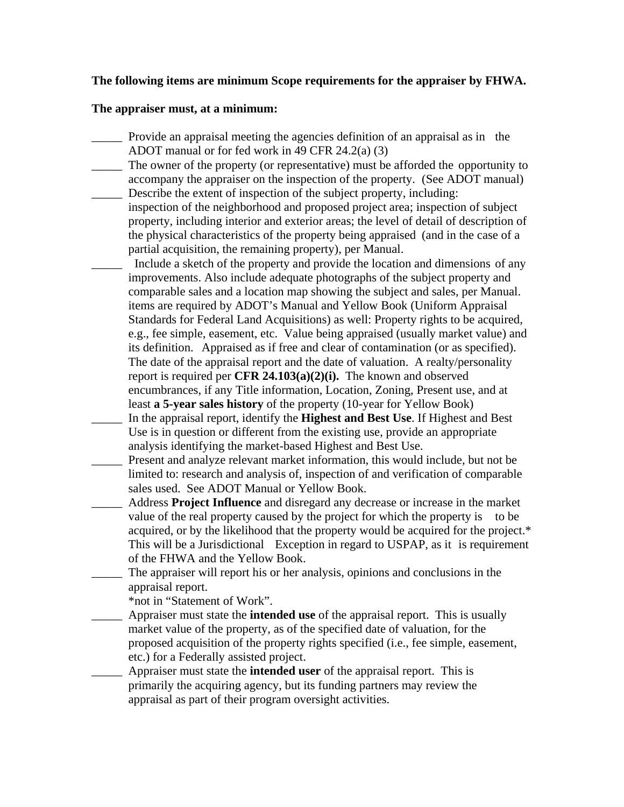## **The following items are minimum Scope requirements for the appraiser by FHWA.**

## **The appraiser must, at a minimum:**

- \_\_\_\_\_ Provide an appraisal meeting the agencies definition of an appraisal as in the ADOT manual or for fed work in 49 CFR 24.2(a) (3)
- \_\_\_\_\_ The owner of the property (or representative) must be afforded the opportunity to accompany the appraiser on the inspection of the property. (See ADOT manual) Describe the extent of inspection of the subject property, including:
- inspection of the neighborhood and proposed project area; inspection of subject property, including interior and exterior areas; the level of detail of description of the physical characteristics of the property being appraised (and in the case of a partial acquisition, the remaining property), per Manual.

Include a sketch of the property and provide the location and dimensions of any improvements. Also include adequate photographs of the subject property and comparable sales and a location map showing the subject and sales, per Manual. items are required by ADOT's Manual and Yellow Book (Uniform Appraisal Standards for Federal Land Acquisitions) as well: Property rights to be acquired, e.g., fee simple, easement, etc. Value being appraised (usually market value) and its definition. Appraised as if free and clear of contamination (or as specified). The date of the appraisal report and the date of valuation. A realty/personality report is required per **CFR 24.103(a)(2)(i).** The known and observed encumbrances, if any Title information, Location, Zoning, Present use, and at least **a 5-year sales history** of the property (10-year for Yellow Book)

- \_\_\_\_\_ In the appraisal report, identify the **Highest and Best Use**. If Highest and Best Use is in question or different from the existing use, provide an appropriate analysis identifying the market-based Highest and Best Use.
- Present and analyze relevant market information, this would include, but not be limited to: research and analysis of, inspection of and verification of comparable sales used. See ADOT Manual or Yellow Book.
- \_\_\_\_\_ Address **Project Influence** and disregard any decrease or increase in the market value of the real property caused by the project for which the property is to be acquired, or by the likelihood that the property would be acquired for the project.\* This will be a Jurisdictional Exception in regard to USPAP, as it is requirement of the FHWA and the Yellow Book.
- \_\_\_\_\_ The appraiser will report his or her analysis, opinions and conclusions in the appraisal report.

\*not in "Statement of Work".

- \_\_\_\_\_ Appraiser must state the **intended use** of the appraisal report. This is usually market value of the property, as of the specified date of valuation, for the proposed acquisition of the property rights specified (i.e., fee simple, easement, etc.) for a Federally assisted project.
- \_\_\_\_\_ Appraiser must state the **intended user** of the appraisal report. This is primarily the acquiring agency, but its funding partners may review the appraisal as part of their program oversight activities.